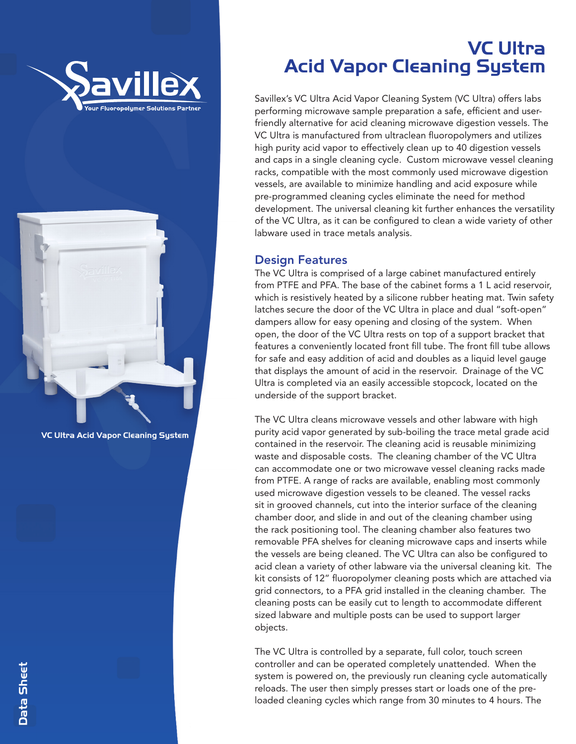



VC Ultra Acid Vapor Cleaning System

# VC Ultra Acid Vapor Cleaning System

Savillex's VC Ultra Acid Vapor Cleaning System (VC Ultra) offers labs performing microwave sample preparation a safe, efficient and userfriendly alternative for acid cleaning microwave digestion vessels. The VC Ultra is manufactured from ultraclean fluoropolymers and utilizes high purity acid vapor to effectively clean up to 40 digestion vessels and caps in a single cleaning cycle. Custom microwave vessel cleaning racks, compatible with the most commonly used microwave digestion vessels, are available to minimize handling and acid exposure while pre-programmed cleaning cycles eliminate the need for method development. The universal cleaning kit further enhances the versatility of the VC Ultra, as it can be configured to clean a wide variety of other labware used in trace metals analysis.

#### Design Features

The VC Ultra is comprised of a large cabinet manufactured entirely from PTFE and PFA. The base of the cabinet forms a 1 L acid reservoir, which is resistively heated by a silicone rubber heating mat. Twin safety latches secure the door of the VC Ultra in place and dual "soft-open" dampers allow for easy opening and closing of the system. When open, the door of the VC Ultra rests on top of a support bracket that features a conveniently located front fill tube. The front fill tube allows for safe and easy addition of acid and doubles as a liquid level gauge that displays the amount of acid in the reservoir. Drainage of the VC Ultra is completed via an easily accessible stopcock, located on the underside of the support bracket.

The VC Ultra cleans microwave vessels and other labware with high purity acid vapor generated by sub-boiling the trace metal grade acid contained in the reservoir. The cleaning acid is reusable minimizing waste and disposable costs. The cleaning chamber of the VC Ultra can accommodate one or two microwave vessel cleaning racks made from PTFE. A range of racks are available, enabling most commonly used microwave digestion vessels to be cleaned. The vessel racks sit in grooved channels, cut into the interior surface of the cleaning chamber door, and slide in and out of the cleaning chamber using the rack positioning tool. The cleaning chamber also features two removable PFA shelves for cleaning microwave caps and inserts while the vessels are being cleaned. The VC Ultra can also be configured to acid clean a variety of other labware via the universal cleaning kit. The kit consists of 12" fluoropolymer cleaning posts which are attached via grid connectors, to a PFA grid installed in the cleaning chamber. The cleaning posts can be easily cut to length to accommodate different sized labware and multiple posts can be used to support larger objects.

The VC Ultra is controlled by a separate, full color, touch screen controller and can be operated completely unattended. When the system is powered on, the previously run cleaning cycle automatically reloads. The user then simply presses start or loads one of the preloaded cleaning cycles which range from 30 minutes to 4 hours. The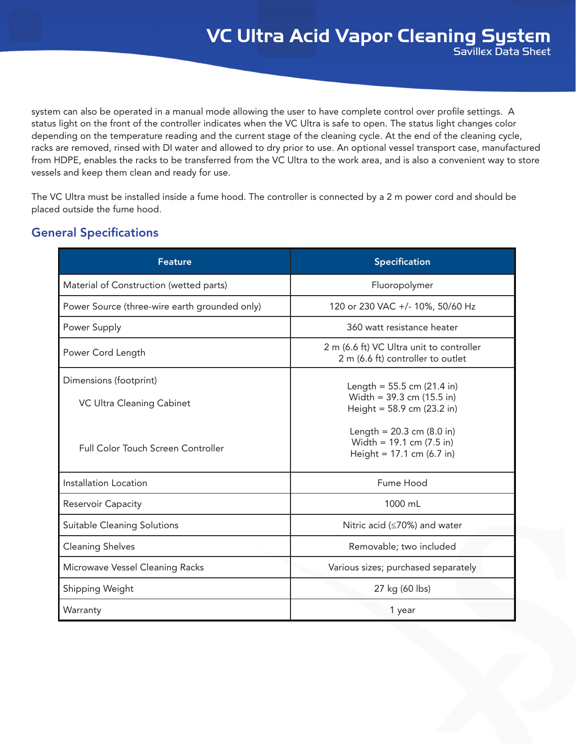system can also be operated in a manual mode allowing the user to have complete control over profile settings. A status light on the front of the controller indicates when the VC Ultra is safe to open. The status light changes color depending on the temperature reading and the current stage of the cleaning cycle. At the end of the cleaning cycle, racks are removed, rinsed with DI water and allowed to dry prior to use. An optional vessel transport case, manufactured from HDPE, enables the racks to be transferred from the VC Ultra to the work area, and is also a convenient way to store vessels and keep them clean and ready for use.

The VC Ultra must be installed inside a fume hood. The controller is connected by a 2 m power cord and should be placed outside the fume hood.

| <b>General Specifications</b> |
|-------------------------------|
|                               |

| <b>Feature</b>                                      | <b>Specification</b>                                                                               |  |
|-----------------------------------------------------|----------------------------------------------------------------------------------------------------|--|
| Material of Construction (wetted parts)             | Fluoropolymer                                                                                      |  |
| Power Source (three-wire earth grounded only)       | 120 or 230 VAC +/- 10%, 50/60 Hz                                                                   |  |
| Power Supply                                        | 360 watt resistance heater                                                                         |  |
| Power Cord Length                                   | 2 m (6.6 ft) VC Ultra unit to controller<br>2 m (6.6 ft) controller to outlet                      |  |
| Dimensions (footprint)<br>VC Ultra Cleaning Cabinet | Length = $55.5$ cm (21.4 in)<br>Width = $39.3$ cm (15.5 in)<br>Height = 58.9 cm (23.2 in)          |  |
| <b>Full Color Touch Screen Controller</b>           | Length = $20.3$ cm (8.0 in)<br>Width = $19.1$ cm $(7.5 \text{ in})$<br>Height = $17.1$ cm (6.7 in) |  |
| Installation Location                               | Fume Hood                                                                                          |  |
| <b>Reservoir Capacity</b>                           | 1000 mL                                                                                            |  |
| Suitable Cleaning Solutions                         | Nitric acid ( $\leq$ 70%) and water                                                                |  |
| <b>Cleaning Shelves</b>                             | Removable; two included                                                                            |  |
| Microwave Vessel Cleaning Racks                     | Various sizes; purchased separately                                                                |  |
| Shipping Weight                                     | 27 kg (60 lbs)                                                                                     |  |
| Warranty                                            | 1 year                                                                                             |  |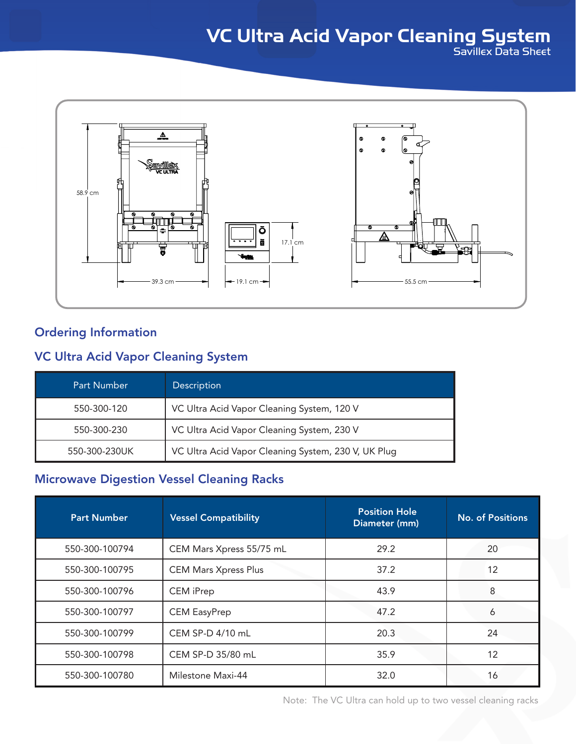

## Ordering Information

#### VC Ultra Acid Vapor Cleaning System

| <b>Part Number</b> | Description                                         |
|--------------------|-----------------------------------------------------|
| 550-300-120        | VC Ultra Acid Vapor Cleaning System, 120 V          |
| 550-300-230        | VC Ultra Acid Vapor Cleaning System, 230 V          |
| 550-300-230UK      | VC Ultra Acid Vapor Cleaning System, 230 V, UK Plug |

#### Microwave Digestion Vessel Cleaning Racks

| <b>Part Number</b> | <b>Vessel Compatibility</b> | <b>Position Hole</b><br>Diameter (mm) | <b>No. of Positions</b> |
|--------------------|-----------------------------|---------------------------------------|-------------------------|
| 550-300-100794     | CEM Mars Xpress 55/75 mL    | 29.2                                  | 20                      |
| 550-300-100795     | <b>CEM Mars Xpress Plus</b> | 37.2                                  | $12 \overline{ }$       |
| 550-300-100796     | <b>CEM</b> iPrep            | 43.9                                  | 8                       |
| 550-300-100797     | <b>CEM EasyPrep</b>         | 47.2                                  | 6                       |
| 550-300-100799     | CEM SP-D 4/10 mL            | 20.3                                  | 24                      |
| 550-300-100798     | CEM SP-D 35/80 mL           | 35.9                                  | 12                      |
| 550-300-100780     | Milestone Maxi-44           | 32.0                                  | 16                      |

Note: The VC Ultra can hold up to two vessel cleaning racks